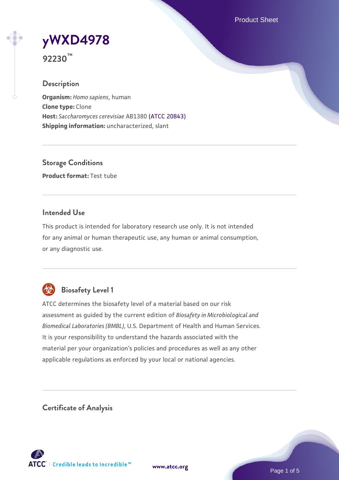Product Sheet

# **[yWXD4978](https://www.atcc.org/products/92230)**

**92230™**

## **Description**

**Organism:** *Homo sapiens*, human **Clone type:** Clone **Host:** *Saccharomyces cerevisiae* AB1380 [\(ATCC 20843\)](https://www.atcc.org/products/20843) **Shipping information:** uncharacterized, slant

**Storage Conditions Product format:** Test tube

## **Intended Use**

This product is intended for laboratory research use only. It is not intended for any animal or human therapeutic use, any human or animal consumption, or any diagnostic use.



## **Biosafety Level 1**

ATCC determines the biosafety level of a material based on our risk assessment as guided by the current edition of *Biosafety in Microbiological and Biomedical Laboratories (BMBL)*, U.S. Department of Health and Human Services. It is your responsibility to understand the hazards associated with the material per your organization's policies and procedures as well as any other applicable regulations as enforced by your local or national agencies.

**Certificate of Analysis**

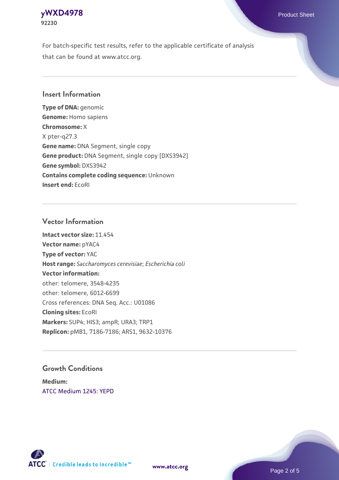## **[yWXD4978](https://www.atcc.org/products/92230)** Product Sheet **92230**

For batch-specific test results, refer to the applicable certificate of analysis that can be found at www.atcc.org.

## **Insert Information**

**Type of DNA:** genomic **Genome:** Homo sapiens **Chromosome:** X X pter-q27.3 **Gene name:** DNA Segment, single copy **Gene product:** DNA Segment, single copy [DXS3942] **Gene symbol:** DXS3942 **Contains complete coding sequence:** Unknown **Insert end:** EcoRI

#### **Vector Information**

**Intact vector size:** 11.454 **Vector name:** pYAC4 **Type of vector:** YAC **Host range:** *Saccharomyces cerevisiae*; *Escherichia coli* **Vector information:** other: telomere, 3548-4235 other: telomere, 6012-6699 Cross references: DNA Seq. Acc.: U01086 **Cloning sites:** EcoRI **Markers:** SUP4; HIS3; ampR; URA3; TRP1 **Replicon:** pMB1, 7186-7186; ARS1, 9632-10376

## **Growth Conditions**

**Medium:**  [ATCC Medium 1245: YEPD](https://www.atcc.org/-/media/product-assets/documents/microbial-media-formulations/1/2/4/5/atcc-medium-1245.pdf?rev=705ca55d1b6f490a808a965d5c072196)



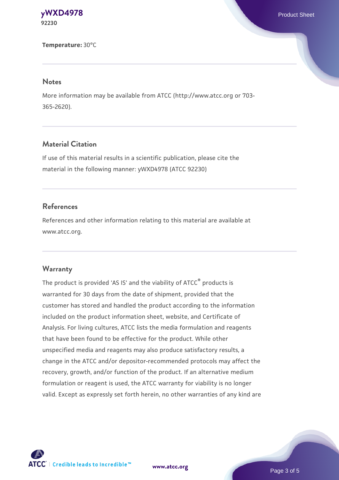#### **[yWXD4978](https://www.atcc.org/products/92230)** Product Sheet **92230**

**Temperature:** 30°C

#### **Notes**

More information may be available from ATCC (http://www.atcc.org or 703- 365-2620).

## **Material Citation**

If use of this material results in a scientific publication, please cite the material in the following manner: yWXD4978 (ATCC 92230)

## **References**

References and other information relating to this material are available at www.atcc.org.

#### **Warranty**

The product is provided 'AS IS' and the viability of ATCC® products is warranted for 30 days from the date of shipment, provided that the customer has stored and handled the product according to the information included on the product information sheet, website, and Certificate of Analysis. For living cultures, ATCC lists the media formulation and reagents that have been found to be effective for the product. While other unspecified media and reagents may also produce satisfactory results, a change in the ATCC and/or depositor-recommended protocols may affect the recovery, growth, and/or function of the product. If an alternative medium formulation or reagent is used, the ATCC warranty for viability is no longer valid. Except as expressly set forth herein, no other warranties of any kind are



**[www.atcc.org](http://www.atcc.org)**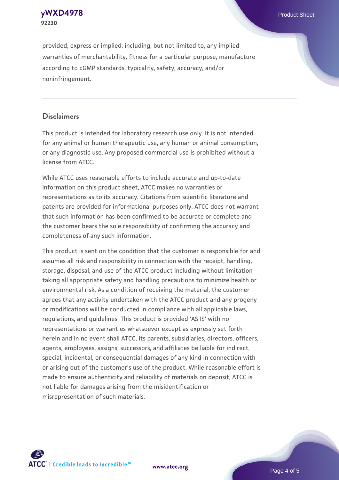**[yWXD4978](https://www.atcc.org/products/92230)** Product Sheet **92230**

provided, express or implied, including, but not limited to, any implied warranties of merchantability, fitness for a particular purpose, manufacture according to cGMP standards, typicality, safety, accuracy, and/or noninfringement.

#### **Disclaimers**

This product is intended for laboratory research use only. It is not intended for any animal or human therapeutic use, any human or animal consumption, or any diagnostic use. Any proposed commercial use is prohibited without a license from ATCC.

While ATCC uses reasonable efforts to include accurate and up-to-date information on this product sheet, ATCC makes no warranties or representations as to its accuracy. Citations from scientific literature and patents are provided for informational purposes only. ATCC does not warrant that such information has been confirmed to be accurate or complete and the customer bears the sole responsibility of confirming the accuracy and completeness of any such information.

This product is sent on the condition that the customer is responsible for and assumes all risk and responsibility in connection with the receipt, handling, storage, disposal, and use of the ATCC product including without limitation taking all appropriate safety and handling precautions to minimize health or environmental risk. As a condition of receiving the material, the customer agrees that any activity undertaken with the ATCC product and any progeny or modifications will be conducted in compliance with all applicable laws, regulations, and guidelines. This product is provided 'AS IS' with no representations or warranties whatsoever except as expressly set forth herein and in no event shall ATCC, its parents, subsidiaries, directors, officers, agents, employees, assigns, successors, and affiliates be liable for indirect, special, incidental, or consequential damages of any kind in connection with or arising out of the customer's use of the product. While reasonable effort is made to ensure authenticity and reliability of materials on deposit, ATCC is not liable for damages arising from the misidentification or misrepresentation of such materials.



**[www.atcc.org](http://www.atcc.org)**

Page 4 of 5